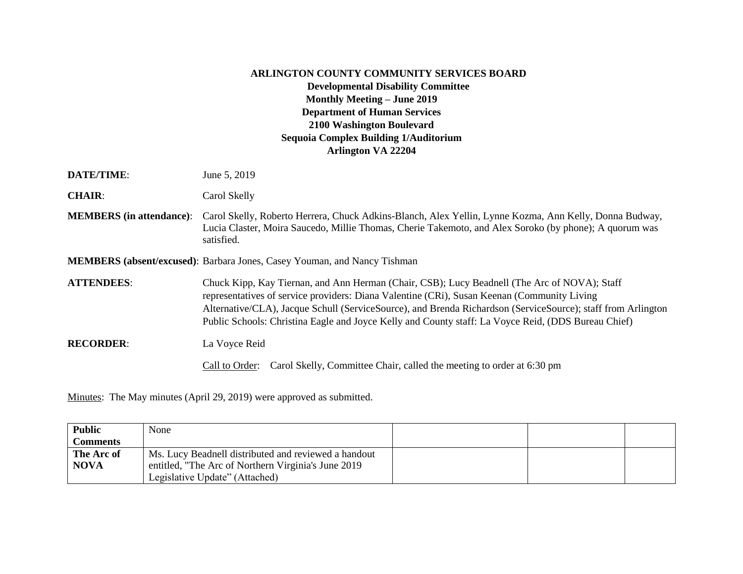## **ARLINGTON COUNTY COMMUNITY SERVICES BOARD Developmental Disability Committee Monthly Meeting – June 2019 Department of Human Services 2100 Washington Boulevard Sequoia Complex Building 1/Auditorium Arlington VA 22204**

**DATE/TIME:** June 5, 2019

**CHAIR**: Carol Skelly

**MEMBERS (in attendance)**: Carol Skelly, Roberto Herrera, Chuck Adkins-Blanch, Alex Yellin, Lynne Kozma, Ann Kelly, Donna Budway, Lucia Claster, Moira Saucedo, Millie Thomas, Cherie Takemoto, and Alex Soroko (by phone); A quorum was satisfied.

**MEMBERS (absent/excused)**: Barbara Jones, Casey Youman, and Nancy Tishman

**ATTENDEES**: Chuck Kipp, Kay Tiernan, and Ann Herman (Chair, CSB); Lucy Beadnell (The Arc of NOVA); Staff representatives of service providers: Diana Valentine (CRi), Susan Keenan (Community Living Alternative/CLA), Jacque Schull (ServiceSource), and Brenda Richardson (ServiceSource); staff from Arlington Public Schools: Christina Eagle and Joyce Kelly and County staff: La Voyce Reid, (DDS Bureau Chief)

## **RECORDER**: La Voyce Reid

Call to Order: Carol Skelly, Committee Chair, called the meeting to order at 6:30 pm

Minutes: The May minutes (April 29, 2019) were approved as submitted.

| <b>Public</b>   | None                                                 |  |  |
|-----------------|------------------------------------------------------|--|--|
| <b>Comments</b> |                                                      |  |  |
| The Arc of      | Ms. Lucy Beadnell distributed and reviewed a handout |  |  |
| <b>NOVA</b>     | entitled, "The Arc of Northern Virginia's June 2019  |  |  |
|                 | Legislative Update" (Attached)                       |  |  |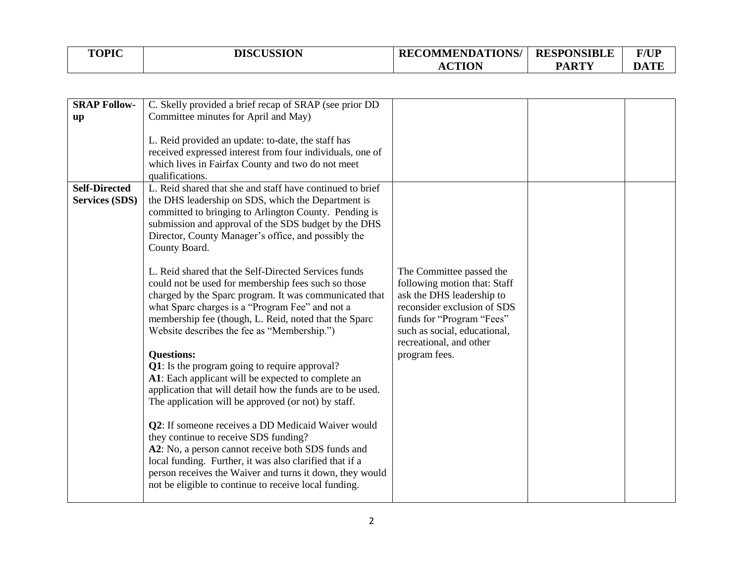| <b>TOPIC</b> | <b>DISCUSSION</b> | <b>RECOMMENDATIONS/</b> | <b>RESPONSIBLE</b> | <b>F/UP</b> |
|--------------|-------------------|-------------------------|--------------------|-------------|
|              |                   | <b>ACTION</b>           | <b>PARTY</b>       | <b>DATE</b> |

| <b>SRAP Follow-</b><br>up                     | C. Skelly provided a brief recap of SRAP (see prior DD<br>Committee minutes for April and May)<br>L. Reid provided an update: to-date, the staff has<br>received expressed interest from four individuals, one of<br>which lives in Fairfax County and two do not meet<br>qualifications.                                                                                                                                                                                                                                                                                                                                                                                                                                                                                                                                                                                                                                                                                                                                                                                                                                                                                                                                          |                                                                                                                                                                                                                               |  |
|-----------------------------------------------|------------------------------------------------------------------------------------------------------------------------------------------------------------------------------------------------------------------------------------------------------------------------------------------------------------------------------------------------------------------------------------------------------------------------------------------------------------------------------------------------------------------------------------------------------------------------------------------------------------------------------------------------------------------------------------------------------------------------------------------------------------------------------------------------------------------------------------------------------------------------------------------------------------------------------------------------------------------------------------------------------------------------------------------------------------------------------------------------------------------------------------------------------------------------------------------------------------------------------------|-------------------------------------------------------------------------------------------------------------------------------------------------------------------------------------------------------------------------------|--|
| <b>Self-Directed</b><br><b>Services (SDS)</b> | L. Reid shared that she and staff have continued to brief<br>the DHS leadership on SDS, which the Department is<br>committed to bringing to Arlington County. Pending is<br>submission and approval of the SDS budget by the DHS<br>Director, County Manager's office, and possibly the<br>County Board.<br>L. Reid shared that the Self-Directed Services funds<br>could not be used for membership fees such so those<br>charged by the Sparc program. It was communicated that<br>what Sparc charges is a "Program Fee" and not a<br>membership fee (though, L. Reid, noted that the Sparc<br>Website describes the fee as "Membership.")<br><b>Questions:</b><br>Q1: Is the program going to require approval?<br>A1: Each applicant will be expected to complete an<br>application that will detail how the funds are to be used.<br>The application will be approved (or not) by staff.<br>Q2: If someone receives a DD Medicaid Waiver would<br>they continue to receive SDS funding?<br>A2: No, a person cannot receive both SDS funds and<br>local funding. Further, it was also clarified that if a<br>person receives the Waiver and turns it down, they would<br>not be eligible to continue to receive local funding. | The Committee passed the<br>following motion that: Staff<br>ask the DHS leadership to<br>reconsider exclusion of SDS<br>funds for "Program "Fees"<br>such as social, educational,<br>recreational, and other<br>program fees. |  |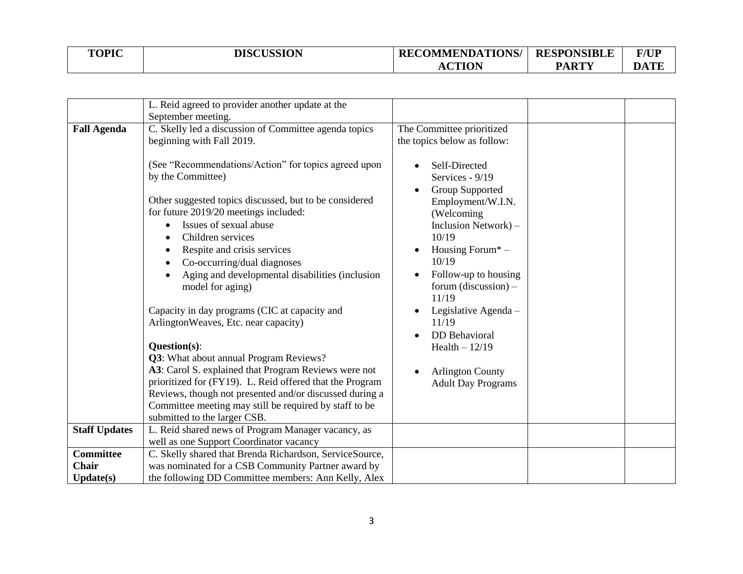| <b>TOPIC</b> | <b>DISCUSSION</b> | <b>RECOMMENDATIONS/</b> | <b>RESPONSIBLE</b> | <b>F/UP</b> |
|--------------|-------------------|-------------------------|--------------------|-------------|
|              |                   | <b>ACTION</b>           | <b>PARTY</b>       | <b>DATE</b> |

|                      | L. Reid agreed to provider another update at the         |                             |  |
|----------------------|----------------------------------------------------------|-----------------------------|--|
|                      | September meeting.                                       |                             |  |
| <b>Fall Agenda</b>   | C. Skelly led a discussion of Committee agenda topics    | The Committee prioritized   |  |
|                      | beginning with Fall 2019.                                | the topics below as follow: |  |
|                      |                                                          |                             |  |
|                      | (See "Recommendations/Action" for topics agreed upon     | Self-Directed               |  |
|                      | by the Committee)                                        | Services - 9/19             |  |
|                      |                                                          |                             |  |
|                      | Other suggested topics discussed, but to be considered   | Group Supported             |  |
|                      |                                                          | Employment/W.I.N.           |  |
|                      | for future 2019/20 meetings included:                    | (Welcoming                  |  |
|                      | Issues of sexual abuse                                   | Inclusion Network) -        |  |
|                      | Children services                                        | 10/19                       |  |
|                      | Respite and crisis services                              | Housing Forum* -            |  |
|                      | Co-occurring/dual diagnoses                              | 10/19                       |  |
|                      | Aging and developmental disabilities (inclusion          | Follow-up to housing        |  |
|                      | model for aging)                                         | forum (discussion) $-$      |  |
|                      |                                                          | 11/19                       |  |
|                      | Capacity in day programs (CIC at capacity and            | Legislative Agenda -        |  |
|                      | ArlingtonWeaves, Etc. near capacity)                     | 11/19                       |  |
|                      |                                                          | <b>DD</b> Behavioral        |  |
|                      | Question(s):                                             | Health $-12/19$             |  |
|                      | Q3: What about annual Program Reviews?                   |                             |  |
|                      | A3: Carol S. explained that Program Reviews were not     |                             |  |
|                      | prioritized for (FY19). L. Reid offered that the Program | <b>Arlington County</b>     |  |
|                      | Reviews, though not presented and/or discussed during a  | <b>Adult Day Programs</b>   |  |
|                      |                                                          |                             |  |
|                      | Committee meeting may still be required by staff to be   |                             |  |
|                      | submitted to the larger CSB.                             |                             |  |
| <b>Staff Updates</b> | L. Reid shared news of Program Manager vacancy, as       |                             |  |
|                      | well as one Support Coordinator vacancy                  |                             |  |
| <b>Committee</b>     | C. Skelly shared that Brenda Richardson, ServiceSource,  |                             |  |
| Chair                | was nominated for a CSB Community Partner award by       |                             |  |
| Update(s)            | the following DD Committee members: Ann Kelly, Alex      |                             |  |